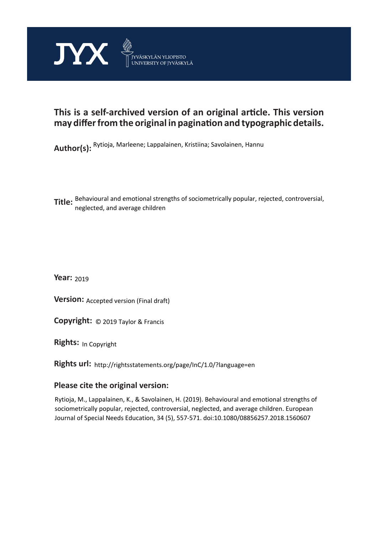

# **This is a self-archived version of an original article. This version may differ from the original in pagination and typographic details.**

**Author(s):**  Rytioja, Marleene; Lappalainen, Kristiina; Savolainen, Hannu

**Title:**  Behavioural and emotional strengths of sociometrically popular, rejected, controversial, neglected, and average children

**Year:**  2019

**Version: Accepted version (Final draft)** 

**Version:** Accepted version (Final draft)<br>**Copyright:** © 2019 Taylor & Francis

**Rights:** In Copyright

**Rights url:**  http://rightsstatements.org/page/InC/1.0/?language=en

# **Please cite the original version:**

Rytioja, M., Lappalainen, K., & Savolainen, H. (2019). Behavioural and emotional strengths of sociometrically popular, rejected, controversial, neglected, and average children. European Journal of Special Needs Education, 34 (5), 557-571. doi:10.1080/08856257.2018.1560607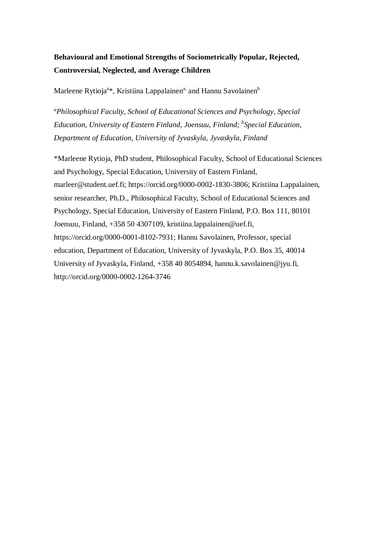# **Behavioural and Emotional Strengths of Sociometrically Popular, Rejected, Controversial, Neglected, and Average Children**

Marleene Rytioja<sup>a\*</sup>, Kristiina Lappalainen<sup>a,</sup> and Hannu Savolainen<sup>b</sup>

*<sup>a</sup>Philosophical Faculty, School of Educational Sciences and Psychology, Special Education, University of Eastern Finland, Joensuu, Finland; <sup>b</sup> Special Education, Department of Education, University of Jyvaskyla, Jyvaskyla, Finland*

\*Marleene Rytioja, PhD student, Philosophical Faculty, School of Educational Sciences and Psychology, Special Education, University of Eastern Finland, marleer@student.uef.fi; https://orcid.org/0000-0002-1830-3806; Kristiina Lappalainen, senior researcher, Ph.D., Philosophical Faculty, School of Educational Sciences and Psychology, Special Education, University of Eastern Finland, P.O. Box 111, 80101 Joensuu, Finland, +358 50 4307109, kristiina.lappalainen@uef.fi, https://orcid.org/0000-0001-8102-7931; Hannu Savolainen, Professor, special education, Department of Education, University of Jyvaskyla, P.O. Box 35, 40014 University of Jyvaskyla, Finland, +358 40 8054894, hannu.k.savolainen@jyu.fi, http://orcid.org/0000-0002-1264-3746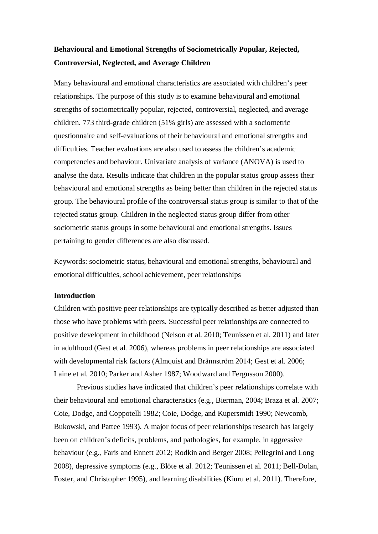# **Behavioural and Emotional Strengths of Sociometrically Popular, Rejected, Controversial, Neglected, and Average Children**

Many behavioural and emotional characteristics are associated with children's peer relationships. The purpose of this study is to examine behavioural and emotional strengths of sociometrically popular, rejected, controversial, neglected, and average children. 773 third-grade children (51% girls) are assessed with a sociometric questionnaire and self-evaluations of their behavioural and emotional strengths and difficulties. Teacher evaluations are also used to assess the children's academic competencies and behaviour. Univariate analysis of variance (ANOVA) is used to analyse the data. Results indicate that children in the popular status group assess their behavioural and emotional strengths as being better than children in the rejected status group. The behavioural profile of the controversial status group is similar to that of the rejected status group. Children in the neglected status group differ from other sociometric status groups in some behavioural and emotional strengths. Issues pertaining to gender differences are also discussed.

Keywords: sociometric status, behavioural and emotional strengths, behavioural and emotional difficulties, school achievement, peer relationships

# **Introduction**

Children with positive peer relationships are typically described as better adjusted than those who have problems with peers. Successful peer relationships are connected to positive development in childhood (Nelson et al. 2010; Teunissen et al. 2011) and later in adulthood (Gest et al. 2006), whereas problems in peer relationships are associated with developmental risk factors (Almquist and Brännström 2014; Gest et al. 2006; Laine et al. 2010; Parker and Asher 1987; Woodward and Fergusson 2000).

Previous studies have indicated that children's peer relationships correlate with their behavioural and emotional characteristics (e.g., Bierman, 2004; Braza et al. 2007; Coie, Dodge, and Coppotelli 1982; Coie, Dodge, and Kupersmidt 1990; Newcomb, Bukowski, and Pattee 1993). A major focus of peer relationships research has largely been on children's deficits, problems, and pathologies, for example, in aggressive behaviour (e.g., Faris and Ennett 2012; Rodkin and Berger 2008; Pellegrini and Long 2008), depressive symptoms (e.g., Blöte et al. 2012; Teunissen et al. 2011; Bell-Dolan, Foster, and Christopher 1995), and learning disabilities (Kiuru et al. 2011). Therefore,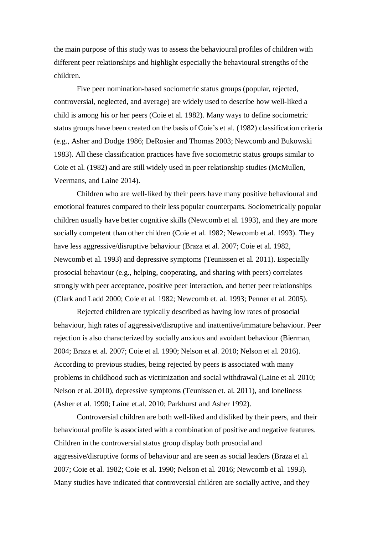the main purpose of this study was to assess the behavioural profiles of children with different peer relationships and highlight especially the behavioural strengths of the children.

Five peer nomination-based sociometric status groups (popular, rejected, controversial, neglected, and average) are widely used to describe how well-liked a child is among his or her peers (Coie et al. 1982). Many ways to define sociometric status groups have been created on the basis of Coie's et al. (1982) classification criteria (e.g., Asher and Dodge 1986; DeRosier and Thomas 2003; Newcomb and Bukowski 1983). All these classification practices have five sociometric status groups similar to Coie et al. (1982) and are still widely used in peer relationship studies (McMullen, Veermans, and Laine 2014).

Children who are well-liked by their peers have many positive behavioural and emotional features compared to their less popular counterparts. Sociometrically popular children usually have better cognitive skills (Newcomb et al. 1993), and they are more socially competent than other children (Coie et al. 1982; Newcomb et.al. 1993). They have less aggressive/disruptive behaviour (Braza et al. 2007; Coie et al. 1982, Newcomb et al. 1993) and depressive symptoms (Teunissen et al. 2011). Especially prosocial behaviour (e.g., helping, cooperating, and sharing with peers) correlates strongly with peer acceptance, positive peer interaction, and better peer relationships (Clark and Ladd 2000; Coie et al. 1982; Newcomb et. al. 1993; Penner et al. 2005).

Rejected children are typically described as having low rates of prosocial behaviour, high rates of aggressive/disruptive and inattentive/immature behaviour. Peer rejection is also characterized by socially anxious and avoidant behaviour (Bierman, 2004; Braza et al. 2007; Coie et al. 1990; Nelson et al. 2010; Nelson et al. 2016). According to previous studies, being rejected by peers is associated with many problems in childhood such as victimization and social withdrawal (Laine et al. 2010; Nelson et al. 2010), depressive symptoms (Teunissen et. al. 2011), and loneliness (Asher et al. 1990; Laine et.al. 2010; Parkhurst and Asher 1992).

Controversial children are both well-liked and disliked by their peers, and their behavioural profile is associated with a combination of positive and negative features. Children in the controversial status group display both prosocial and aggressive/disruptive forms of behaviour and are seen as social leaders (Braza et al. 2007; Coie et al. 1982; Coie et al. 1990; Nelson et al. 2016; Newcomb et al. 1993). Many studies have indicated that controversial children are socially active, and they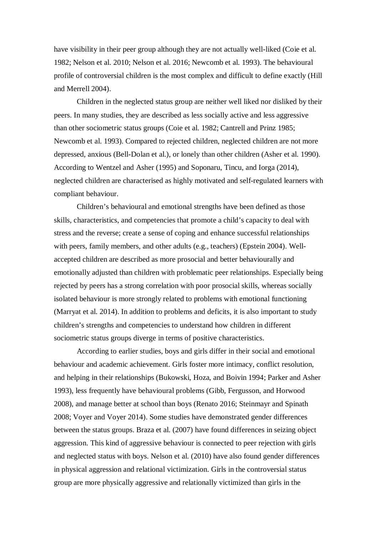have visibility in their peer group although they are not actually well-liked (Coie et al. 1982; Nelson et al. 2010; Nelson et al. 2016; Newcomb et al. 1993). The behavioural profile of controversial children is the most complex and difficult to define exactly (Hill and Merrell 2004).

Children in the neglected status group are neither well liked nor disliked by their peers. In many studies, they are described as less socially active and less aggressive than other sociometric status groups (Coie et al. 1982; Cantrell and Prinz 1985; Newcomb et al. 1993). Compared to rejected children, neglected children are not more depressed, anxious (Bell-Dolan et al.), or lonely than other children (Asher et al. 1990). According to Wentzel and Asher (1995) and Soponaru, Tincu, and Iorga (2014), neglected children are characterised as highly motivated and self-regulated learners with compliant behaviour.

Children's behavioural and emotional strengths have been defined as those skills, characteristics, and competencies that promote a child's capacity to deal with stress and the reverse; create a sense of coping and enhance successful relationships with peers, family members, and other adults (e.g., teachers) (Epstein 2004). Wellaccepted children are described as more prosocial and better behaviourally and emotionally adjusted than children with problematic peer relationships. Especially being rejected by peers has a strong correlation with poor prosocial skills, whereas socially isolated behaviour is more strongly related to problems with emotional functioning (Marryat et al. 2014). In addition to problems and deficits, it is also important to study children's strengths and competencies to understand how children in different sociometric status groups diverge in terms of positive characteristics.

According to earlier studies, boys and girls differ in their social and emotional behaviour and academic achievement. Girls foster more intimacy, conflict resolution, and helping in their relationships (Bukowski, Hoza, and Boivin 1994; Parker and Asher 1993), less frequently have behavioural problems (Gibb, Fergusson, and Horwood 2008), and manage better at school than boys (Renato 2016; Steinmayr and Spinath 2008; Voyer and Voyer 2014). Some studies have demonstrated gender differences between the status groups. Braza et al. (2007) have found differences in seizing object aggression. This kind of aggressive behaviour is connected to peer rejection with girls and neglected status with boys. Nelson et al. (2010) have also found gender differences in physical aggression and relational victimization. Girls in the controversial status group are more physically aggressive and relationally victimized than girls in the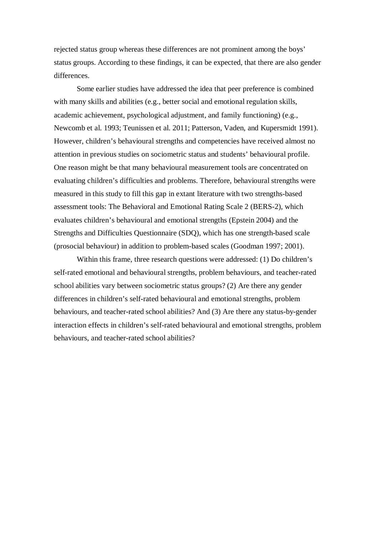rejected status group whereas these differences are not prominent among the boys' status groups. According to these findings, it can be expected, that there are also gender differences.

Some earlier studies have addressed the idea that peer preference is combined with many skills and abilities (e.g., better social and emotional regulation skills, academic achievement, psychological adjustment, and family functioning) (e.g., Newcomb et al. 1993; Teunissen et al. 2011; Patterson, Vaden, and Kupersmidt 1991). However, children's behavioural strengths and competencies have received almost no attention in previous studies on sociometric status and students' behavioural profile. One reason might be that many behavioural measurement tools are concentrated on evaluating children's difficulties and problems. Therefore, behavioural strengths were measured in this study to fill this gap in extant literature with two strengths-based assessment tools: The Behavioral and Emotional Rating Scale 2 (BERS-2), which evaluates children's behavioural and emotional strengths (Epstein 2004) and the Strengths and Difficulties Questionnaire (SDQ), which has one strength-based scale (prosocial behaviour) in addition to problem-based scales (Goodman 1997; 2001).

Within this frame, three research questions were addressed: (1) Do children's self-rated emotional and behavioural strengths, problem behaviours, and teacher-rated school abilities vary between sociometric status groups? (2) Are there any gender differences in children's self-rated behavioural and emotional strengths, problem behaviours, and teacher-rated school abilities? And (3) Are there any status-by-gender interaction effects in children's self-rated behavioural and emotional strengths, problem behaviours, and teacher-rated school abilities?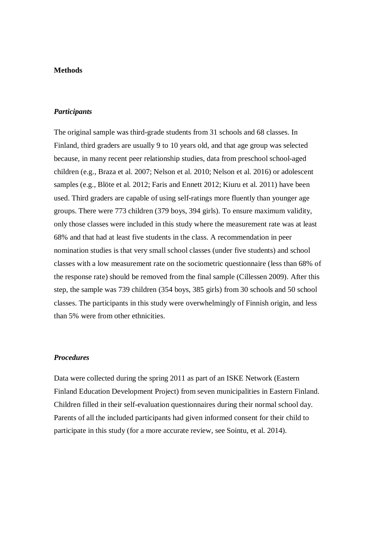## **Methods**

#### *Participants*

The original sample was third-grade students from 31 schools and 68 classes. In Finland, third graders are usually 9 to 10 years old, and that age group was selected because, in many recent peer relationship studies, data from preschool school-aged children (e.g., Braza et al. 2007; Nelson et al. 2010; Nelson et al. 2016) or adolescent samples (e.g., Blöte et al. 2012; Faris and Ennett 2012; Kiuru et al. 2011) have been used. Third graders are capable of using self-ratings more fluently than younger age groups. There were 773 children (379 boys, 394 girls). To ensure maximum validity, only those classes were included in this study where the measurement rate was at least 68% and that had at least five students in the class. A recommendation in peer nomination studies is that very small school classes (under five students) and school classes with a low measurement rate on the sociometric questionnaire (less than 68% of the response rate) should be removed from the final sample (Cillessen 2009). After this step, the sample was 739 children (354 boys, 385 girls) from 30 schools and 50 school classes. The participants in this study were overwhelmingly of Finnish origin, and less than 5% were from other ethnicities.

# *Procedures*

Data were collected during the spring 2011 as part of an ISKE Network (Eastern Finland Education Development Project) from seven municipalities in Eastern Finland. Children filled in their self-evaluation questionnaires during their normal school day. Parents of all the included participants had given informed consent for their child to participate in this study (for a more accurate review, see Sointu, et al. 2014).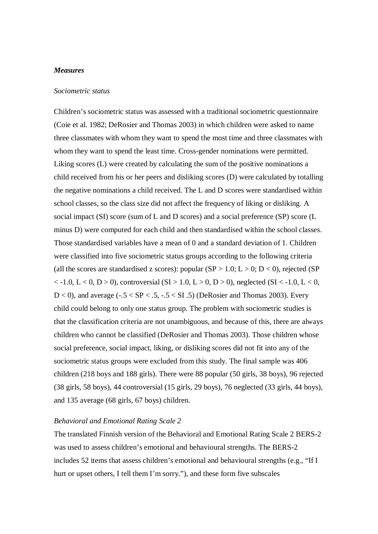## *Measures*

#### *Sociometric status*

Children's sociometric status was assessed with a traditional sociometric questionnaire (Coie et al. 1982; DeRosier and Thomas 2003) in which children were asked to name three classmates with whom they want to spend the most time and three classmates with whom they want to spend the least time. Cross-gender nominations were permitted. Liking scores (L) were created by calculating the sum of the positive nominations a child received from his or her peers and disliking scores (D) were calculated by totalling the negative nominations a child received. The L and D scores were standardised within school classes, so the class size did not affect the frequency of liking or disliking. A social impact (SI) score (sum of L and D scores) and a social preference (SP) score (L minus D) were computed for each child and then standardised within the school classes. Those standardised variables have a mean of 0 and a standard deviation of 1. Children were classified into five sociometric status groups according to the following criteria (all the scores are standardised z scores): popular  $(SP > 1.0; L > 0; D < 0)$ , rejected  $(SP)$  $<-1.0, L < 0, D > 0$ ), controversial (SI  $> 1.0, L > 0, D > 0$ ), neglected (SI  $<-1.0, L < 0$ , D < 0), and average  $(-.5 < SP < .5, -.5 < SI$ . 5) (DeRosier and Thomas 2003). Every child could belong to only one status group. The problem with sociometric studies is that the classification criteria are not unambiguous, and because of this, there are always children who cannot be classified (DeRosier and Thomas 2003). Those children whose social preference, social impact, liking, or disliking scores did not fit into any of the sociometric status groups were excluded from this study. The final sample was 406 children (218 boys and 188 girls). There were 88 popular (50 girls, 38 boys), 96 rejected (38 girls, 58 boys), 44 controversial (15 girls, 29 boys), 76 neglected (33 girls, 44 boys), and 135 average (68 girls, 67 boys) children.

#### *Behavioral and Emotional Rating Scale 2*

The translated Finnish version of the Behavioral and Emotional Rating Scale 2 BERS-2 was used to assess children's emotional and behavioural strengths. The BERS-2 includes 52 items that assess children's emotional and behavioural strengths (e.g., "If I hurt or upset others, I tell them I'm sorry."), and these form five subscales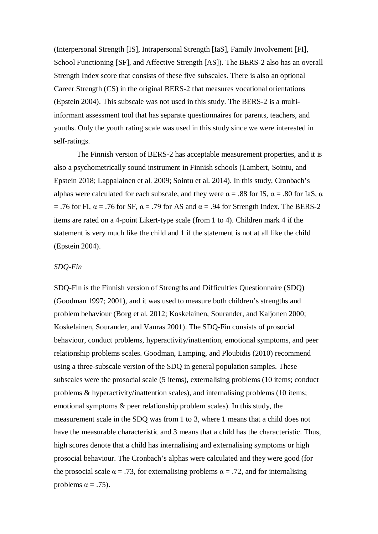(Interpersonal Strength [IS], Intrapersonal Strength [IaS], Family Involvement [FI], School Functioning [SF], and Affective Strength [AS]). The BERS-2 also has an overall Strength Index score that consists of these five subscales. There is also an optional Career Strength (CS) in the original BERS-2 that measures vocational orientations (Epstein 2004). This subscale was not used in this study. The BERS-2 is a multiinformant assessment tool that has separate questionnaires for parents, teachers, and youths. Only the youth rating scale was used in this study since we were interested in self-ratings.

The Finnish version of BERS-2 has acceptable measurement properties, and it is also a psychometrically sound instrument in Finnish schools (Lambert, Sointu, and Epstein 2018; Lappalainen et al. 2009; Sointu et al. 2014). In this study, Cronbach's alphas were calculated for each subscale, and they were  $\alpha = .88$  for IS,  $\alpha = .80$  for IaS,  $\alpha$ = .76 for FI,  $\alpha$  = .76 for SF,  $\alpha$  = .79 for AS and  $\alpha$  = .94 for Strength Index. The BERS-2 items are rated on a 4-point Likert-type scale (from 1 to 4). Children mark 4 if the statement is very much like the child and 1 if the statement is not at all like the child (Epstein 2004).

## *SDQ-Fin*

SDQ-Fin is the Finnish version of Strengths and Difficulties Questionnaire (SDQ) (Goodman 1997; 2001), and it was used to measure both children's strengths and problem behaviour (Borg et al. 2012; Koskelainen, Sourander, and Kaljonen 2000; Koskelainen, Sourander, and Vauras 2001). The SDQ-Fin consists of prosocial behaviour, conduct problems, hyperactivity/inattention, emotional symptoms, and peer relationship problems scales. Goodman, Lamping, and Ploubidis (2010) recommend using a three-subscale version of the SDQ in general population samples. These subscales were the prosocial scale (5 items), externalising problems (10 items; conduct problems & hyperactivity/inattention scales), and internalising problems (10 items; emotional symptoms & peer relationship problem scales). In this study, the measurement scale in the SDQ was from 1 to 3, where 1 means that a child does not have the measurable characteristic and 3 means that a child has the characteristic. Thus, high scores denote that a child has internalising and externalising symptoms or high prosocial behaviour. The Cronbach's alphas were calculated and they were good (for the prosocial scale  $\alpha = .73$ , for externalising problems  $\alpha = .72$ , and for internalising problems  $\alpha = .75$ ).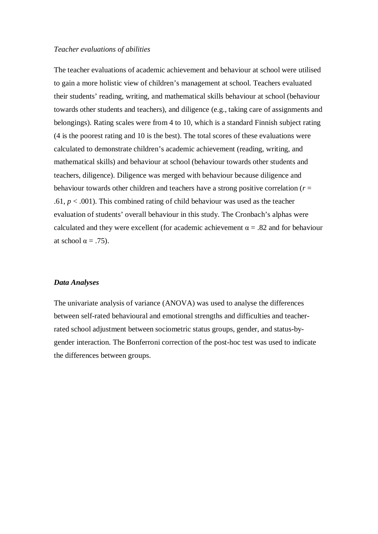#### *Teacher evaluations of abilities*

The teacher evaluations of academic achievement and behaviour at school were utilised to gain a more holistic view of children's management at school. Teachers evaluated their students' reading, writing, and mathematical skills behaviour at school (behaviour towards other students and teachers), and diligence (e.g., taking care of assignments and belongings). Rating scales were from 4 to 10, which is a standard Finnish subject rating (4 is the poorest rating and 10 is the best). The total scores of these evaluations were calculated to demonstrate children's academic achievement (reading, writing, and mathematical skills) and behaviour at school (behaviour towards other students and teachers, diligence). Diligence was merged with behaviour because diligence and behaviour towards other children and teachers have a strong positive correlation  $(r =$ .61,  $p < .001$ ). This combined rating of child behaviour was used as the teacher evaluation of students' overall behaviour in this study. The Cronbach's alphas were calculated and they were excellent (for academic achievement  $\alpha = 0.82$  and for behaviour at school  $\alpha = .75$ ).

### *Data Analyses*

The univariate analysis of variance (ANOVA) was used to analyse the differences between self-rated behavioural and emotional strengths and difficulties and teacherrated school adjustment between sociometric status groups, gender, and status-bygender interaction. The Bonferroni correction of the post-hoc test was used to indicate the differences between groups.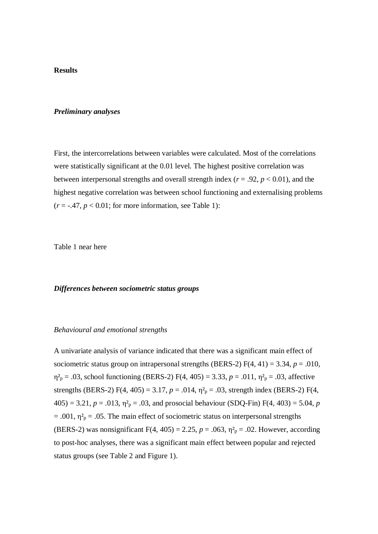#### **Results**

#### *Preliminary analyses*

First, the intercorrelations between variables were calculated. Most of the correlations were statistically significant at the 0.01 level. The highest positive correlation was between interpersonal strengths and overall strength index ( $r = .92$ ,  $p < 0.01$ ), and the highest negative correlation was between school functioning and externalising problems  $(r = -.47, p < 0.01$ ; for more information, see Table 1):

Table 1 near here

#### *Differences between sociometric status groups*

#### *Behavioural and emotional strengths*

A univariate analysis of variance indicated that there was a significant main effect of sociometric status group on intrapersonal strengths (BERS-2)  $F(4, 41) = 3.34$ ,  $p = .010$ ,  $\eta_{\text{p}}^2 = .03$ , school functioning (BERS-2) F(4, 405) = 3.33, *p* = .011,  $\eta_{\text{p}}^2 = .03$ , affective strengths (BERS-2) F(4, 405) = 3.17,  $p = .014$ ,  $\eta_{p}^{2} = .03$ , strength index (BERS-2) F(4,  $405$ ) = 3.21,  $p = .013$ ,  $\eta^2$ <sub>p</sub> = .03, and prosocial behaviour (SDQ-Fin) F(4, 403) = 5.04, *p*  $= .001$ ,  $\eta^2$ <sub>p</sub> = .05. The main effect of sociometric status on interpersonal strengths (BERS-2) was nonsignificant  $F(4, 405) = 2.25$ ,  $p = .063$ ,  $\eta_{p}^{2} = .02$ . However, according to post-hoc analyses, there was a significant main effect between popular and rejected status groups (see Table 2 and Figure 1).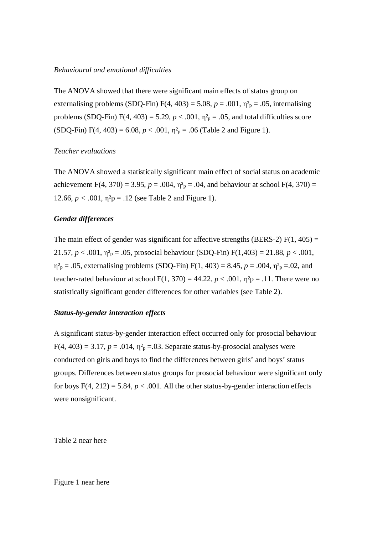## *Behavioural and emotional difficulties*

The ANOVA showed that there were significant main effects of status group on externalising problems (SDQ-Fin)  $F(4, 403) = 5.08$ ,  $p = .001$ ,  $\eta^2$ <sub>p</sub> = .05, internalising problems (SDQ-Fin)  $F(4, 403) = 5.29$ ,  $p < .001$ ,  $\eta_{p}^{2} = .05$ , and total difficulties score  $(SDQ-Fin) F(4, 403) = 6.08, p < .001, \eta^2$ <sub>p</sub> = .06 (Table 2 and Figure 1).

## *Teacher evaluations*

The ANOVA showed a statistically significant main effect of social status on academic achievement F(4, 370) = 3.95,  $p = .004$ ,  $\eta_{p}^{2} = .04$ , and behaviour at school F(4, 370) = 12.66,  $p < .001$ ,  $\eta^2 p = .12$  (see Table 2 and Figure 1).

# *Gender differences*

The main effect of gender was significant for affective strengths (BERS-2)  $F(1, 405) =$ 21.57,  $p < .001$ ,  $\eta^2$ <sub>p</sub> = .05, prosocial behaviour (SDQ-Fin) F(1,403) = 21.88,  $p < .001$ ,  $\eta_{\text{p}}^2 = .05$ , externalising problems (SDQ-Fin) F(1, 403) = 8.45,  $p = .004$ ,  $\eta_{\text{p}}^2 = .02$ , and teacher-rated behaviour at school F(1, 370) = 44.22,  $p < .001$ ,  $\eta^2 p = .11$ . There were no statistically significant gender differences for other variables (see Table 2).

#### *Status-by-gender interaction effects*

A significant status-by-gender interaction effect occurred only for prosocial behaviour  $F(4, 403) = 3.17$ ,  $p = .014$ ,  $\eta^2$ <sub>p</sub> $= .03$ . Separate status-by-prosocial analyses were conducted on girls and boys to find the differences between girls' and boys' status groups. Differences between status groups for prosocial behaviour were significant only for boys  $F(4, 212) = 5.84$ ,  $p < .001$ . All the other status-by-gender interaction effects were nonsignificant.

Table 2 near here

## Figure 1 near here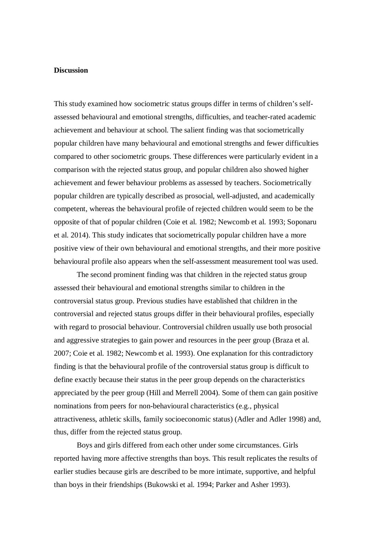#### **Discussion**

This study examined how sociometric status groups differ in terms of children's selfassessed behavioural and emotional strengths, difficulties, and teacher-rated academic achievement and behaviour at school. The salient finding was that sociometrically popular children have many behavioural and emotional strengths and fewer difficulties compared to other sociometric groups. These differences were particularly evident in a comparison with the rejected status group, and popular children also showed higher achievement and fewer behaviour problems as assessed by teachers. Sociometrically popular children are typically described as prosocial, well-adjusted, and academically competent, whereas the behavioural profile of rejected children would seem to be the opposite of that of popular children (Coie et al. 1982; Newcomb et al. 1993; Soponaru et al. 2014). This study indicates that sociometrically popular children have a more positive view of their own behavioural and emotional strengths, and their more positive behavioural profile also appears when the self-assessment measurement tool was used.

The second prominent finding was that children in the rejected status group assessed their behavioural and emotional strengths similar to children in the controversial status group. Previous studies have established that children in the controversial and rejected status groups differ in their behavioural profiles, especially with regard to prosocial behaviour. Controversial children usually use both prosocial and aggressive strategies to gain power and resources in the peer group (Braza et al. 2007; Coie et al. 1982; Newcomb et al. 1993). One explanation for this contradictory finding is that the behavioural profile of the controversial status group is difficult to define exactly because their status in the peer group depends on the characteristics appreciated by the peer group (Hill and Merrell 2004). Some of them can gain positive nominations from peers for non-behavioural characteristics (e.g., physical attractiveness, athletic skills, family socioeconomic status) (Adler and Adler 1998) and, thus, differ from the rejected status group.

Boys and girls differed from each other under some circumstances. Girls reported having more affective strengths than boys. This result replicates the results of earlier studies because girls are described to be more intimate, supportive, and helpful than boys in their friendships (Bukowski et al. 1994; Parker and Asher 1993).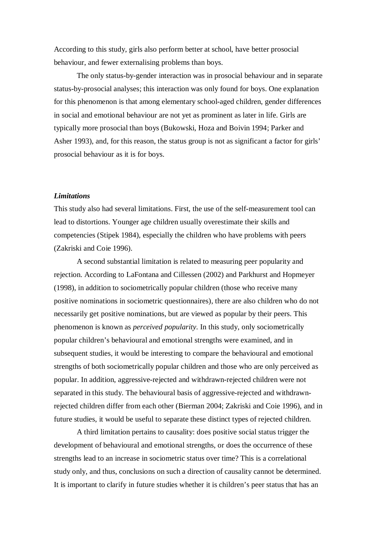According to this study, girls also perform better at school, have better prosocial behaviour, and fewer externalising problems than boys.

The only status-by-gender interaction was in prosocial behaviour and in separate status-by-prosocial analyses; this interaction was only found for boys. One explanation for this phenomenon is that among elementary school-aged children, gender differences in social and emotional behaviour are not yet as prominent as later in life. Girls are typically more prosocial than boys (Bukowski, Hoza and Boivin 1994; Parker and Asher 1993), and, for this reason, the status group is not as significant a factor for girls' prosocial behaviour as it is for boys.

#### *Limitations*

This study also had several limitations. First, the use of the self-measurement tool can lead to distortions. Younger age children usually overestimate their skills and competencies (Stipek 1984), especially the children who have problems with peers (Zakriski and Coie 1996).

A second substantial limitation is related to measuring peer popularity and rejection. According to LaFontana and Cillessen (2002) and Parkhurst and Hopmeyer (1998), in addition to sociometrically popular children (those who receive many positive nominations in sociometric questionnaires), there are also children who do not necessarily get positive nominations, but are viewed as popular by their peers. This phenomenon is known as *perceived popularity*. In this study, only sociometrically popular children's behavioural and emotional strengths were examined, and in subsequent studies, it would be interesting to compare the behavioural and emotional strengths of both sociometrically popular children and those who are only perceived as popular. In addition, aggressive-rejected and withdrawn-rejected children were not separated in this study. The behavioural basis of aggressive-rejected and withdrawnrejected children differ from each other (Bierman 2004; Zakriski and Coie 1996), and in future studies, it would be useful to separate these distinct types of rejected children.

A third limitation pertains to causality: does positive social status trigger the development of behavioural and emotional strengths, or does the occurrence of these strengths lead to an increase in sociometric status over time? This is a correlational study only, and thus, conclusions on such a direction of causality cannot be determined. It is important to clarify in future studies whether it is children's peer status that has an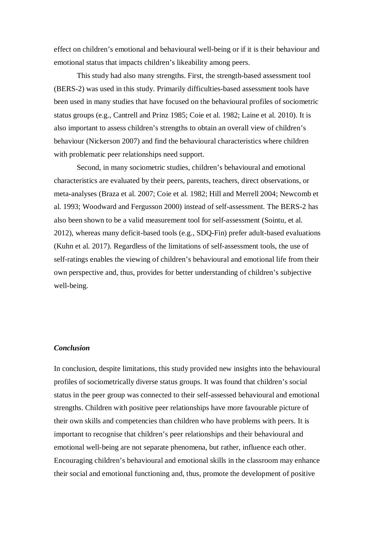effect on children's emotional and behavioural well-being or if it is their behaviour and emotional status that impacts children's likeability among peers.

This study had also many strengths. First, the strength-based assessment tool (BERS-2) was used in this study. Primarily difficulties-based assessment tools have been used in many studies that have focused on the behavioural profiles of sociometric status groups (e.g., Cantrell and Prinz 1985; Coie et al. 1982; Laine et al. 2010). It is also important to assess children's strengths to obtain an overall view of children's behaviour (Nickerson 2007) and find the behavioural characteristics where children with problematic peer relationships need support.

Second, in many sociometric studies, children's behavioural and emotional characteristics are evaluated by their peers, parents, teachers, direct observations, or meta-analyses (Braza et al. 2007; Coie et al. 1982; Hill and Merrell 2004; Newcomb et al. 1993; Woodward and Fergusson 2000) instead of self-assessment. The BERS-2 has also been shown to be a valid measurement tool for self-assessment (Sointu, et al. 2012), whereas many deficit-based tools (e.g., SDQ-Fin) prefer adult-based evaluations (Kuhn et al. 2017). Regardless of the limitations of self-assessment tools, the use of self-ratings enables the viewing of children's behavioural and emotional life from their own perspective and, thus, provides for better understanding of children's subjective well-being.

#### *Conclusion*

In conclusion, despite limitations, this study provided new insights into the behavioural profiles of sociometrically diverse status groups. It was found that children's social status in the peer group was connected to their self-assessed behavioural and emotional strengths. Children with positive peer relationships have more favourable picture of their own skills and competencies than children who have problems with peers. It is important to recognise that children's peer relationships and their behavioural and emotional well-being are not separate phenomena, but rather, influence each other. Encouraging children's behavioural and emotional skills in the classroom may enhance their social and emotional functioning and, thus, promote the development of positive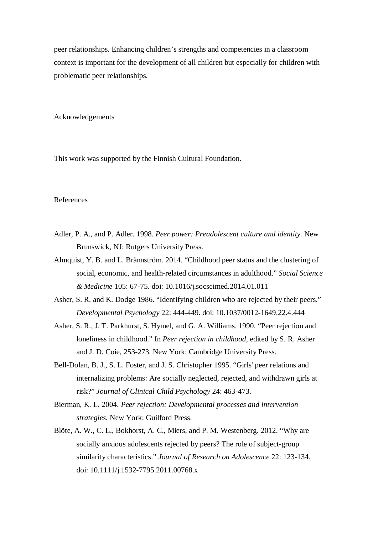peer relationships. Enhancing children's strengths and competencies in a classroom context is important for the development of all children but especially for children with problematic peer relationships.

Acknowledgements

This work was supported by the Finnish Cultural Foundation.

## References

- Adler, P. A., and P. Adler. 1998. *Peer power: Preadolescent culture and identity.* New Brunswick, NJ: Rutgers University Press.
- Almquist, Y. B. and L. Brännström. 2014. "Childhood peer status and the clustering of social, economic, and health-related circumstances in adulthood." *Social Science & Medicine* 105: 67-75. doi: 10.1016/j.socscimed.2014.01.011
- Asher, S. R. and K. Dodge 1986. "Identifying children who are rejected by their peers." *Developmental Psychology* 22: 444-449. doi: 10.1037/0012-1649.22.4.444
- Asher, S. R., J. T. Parkhurst, S. Hymel, and G. A. Williams. 1990. "Peer rejection and loneliness in childhood." In *Peer rejection in childhood,* edited by S. R. Asher and J. D. Coie, 253-273. New York: Cambridge University Press.
- Bell-Dolan, B. J., S. L. Foster, and J. S. Christopher 1995. "Girls' peer relations and internalizing problems: Are socially neglected, rejected, and withdrawn girls at risk?" *Journal of Clinical Child Psychology* 24: 463-473.
- Bierman, K. L. 2004. *Peer rejection: Developmental processes and intervention strategies.* New York: Guilford Press.
- Blöte, A. W., C. L., Bokhorst, A. C., Miers, and P. M. Westenberg. 2012. "Why are socially anxious adolescents rejected by peers? The role of subject-group similarity characteristics." *Journal of Research on Adolescence* 22: 123-134. doi: 10.1111/j.1532-7795.2011.00768.x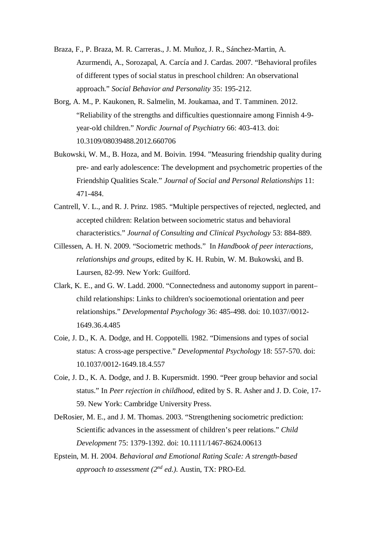- Braza, F., P. Braza, M. R. Carreras., J. M. Muñoz, J. R., Sánchez-Martin, A. Azurmendi, A., Sorozapal, A. Carcía and J. Cardas. 2007. "Behavioral profiles of different types of social status in preschool children: An observational approach." *Social Behavior and Personality* 35: 195-212.
- Borg, A. M., P. Kaukonen, R. Salmelin, M. Joukamaa, and T. Tamminen. 2012. "Reliability of the strengths and difficulties questionnaire among Finnish 4-9 year-old children." *Nordic Journal of Psychiatry* 66: 403-413. doi: 10.3109/08039488.2012.660706
- Bukowski, W. M., B. Hoza, and M. Boivin. 1994. "Measuring friendship quality during pre- and early adolescence: The development and psychometric properties of the Friendship Qualities Scale." *Journal of Social and Personal Relationships* 11: 471-484.
- Cantrell, V. L., and R. J. Prinz. 1985. "Multiple perspectives of rejected, neglected, and accepted children: Relation between sociometric status and behavioral characteristics." *Journal of Consulting and Clinical Psychology* 53: 884-889.
- Cillessen, A. H. N. 2009. "Sociometric methods." In *Handbook of peer interactions, relationships and groups*, edited by K. H. Rubin, W. M. Bukowski, and B. Laursen, 82-99. New York: Guilford.
- Clark, K. E., and G. W. Ladd. 2000. "Connectedness and autonomy support in parent– child relationships: Links to children's socioemotional orientation and peer relationships." *Developmental Psychology* 36: 485-498. doi: 10.1037//0012- 1649.36.4.485
- Coie, J. D., K. A. Dodge, and H. Coppotelli. 1982. "Dimensions and types of social status: A cross-age perspective." *Developmental Psychology* 18: 557-570. doi: 10.1037/0012-1649.18.4.557
- Coie, J. D., K. A. Dodge, and J. B. Kupersmidt. 1990. "Peer group behavior and social status." In *Peer rejection in childhood*, edited by S. R. Asher and J. D. Coie, 17- 59. New York: Cambridge University Press.
- DeRosier, M. E., and J. M. Thomas. 2003. "Strengthening sociometric prediction: Scientific advances in the assessment of children's peer relations." *Child Development* 75: 1379-1392. doi: 10.1111/1467-8624.00613
- Epstein, M. H. 2004. *Behavioral and Emotional Rating Scale: A strength-based approach to assessment (2nd ed.).* Austin, TX: PRO-Ed.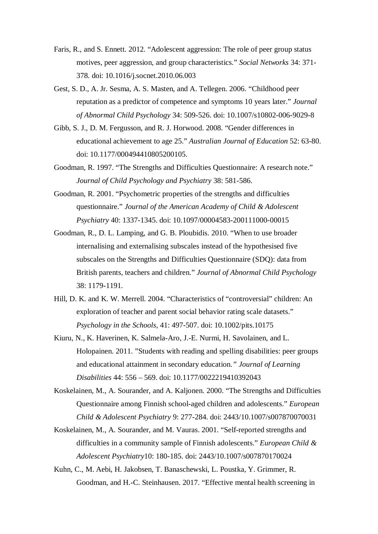- Faris, R., and S. Ennett. 2012. "Adolescent aggression: The role of peer group status motives, peer aggression, and group characteristics." *Social Networks* 34: 371- 378. doi: 10.1016/j.socnet.2010.06.003
- Gest, S. D., A. Jr. Sesma, A. S. Masten, and A. Tellegen. 2006. "Childhood peer reputation as a predictor of competence and symptoms 10 years later." *Journal of Abnormal Child Psychology* 34: 509-526. doi: 10.1007/s10802-006-9029-8
- Gibb, S. J., D. M. Fergusson, and R. J. Horwood. 2008. "Gender differences in educational achievement to age 25." *Australian Journal of Education* 52: 63-80. doi: 10.1177/000494410805200105.
- Goodman, R. 1997. "The Strengths and Difficulties Questionnaire: A research note." *Journal of Child Psychology and Psychiatry* 38: 581-586.
- Goodman, R. 2001. "Psychometric properties of the strengths and difficulties questionnaire." *Journal of the American Academy of Child & Adolescent Psychiatry* 40: 1337-1345. doi: 10.1097/00004583-200111000-00015
- Goodman, R., D. L. Lamping, and G. B. Ploubidis. 2010. "When to use broader internalising and externalising subscales instead of the hypothesised five subscales on the Strengths and Difficulties Questionnaire (SDQ): data from British parents, teachers and children." *Journal of Abnormal Child Psychology* 38: 1179-1191.
- Hill, D. K. and K. W. Merrell. 2004. "Characteristics of "controversial" children: An exploration of teacher and parent social behavior rating scale datasets." *Psychology in the Schools,* 41: 497-507. doi: 10.1002/pits.10175
- Kiuru, N., K. Haverinen, K. Salmela-Aro, J.-E. Nurmi, H. Savolainen, and L. Holopainen. 2011. "Students with reading and spelling disabilities: peer groups and educational attainment in secondary education*." Journal of Learning Disabilities* 44: 556 – 569. doi: 10.1177/0022219410392043
- Koskelainen, M., A. Sourander, and A. Kaljonen. 2000. "The Strengths and Difficulties Questionnaire among Finnish school-aged children and adolescents." *European Child & Adolescent Psychiatry* 9: 277-284. doi: 2443/10.1007/s007870070031
- Koskelainen, M., A. Sourander, and M. Vauras. 2001. "Self-reported strengths and difficulties in a community sample of Finnish adolescents." *European Child & Adolescent Psychiatry*10: 180-185. doi: 2443/10.1007/s007870170024
- Kuhn, C., M. Aebi, H. Jakobsen, T. Banaschewski, L. Poustka, Y. Grimmer, R. Goodman, and H.-C. Steinhausen. 2017. "Effective mental health screening in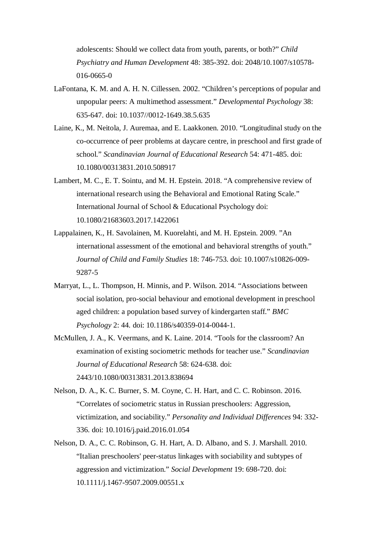adolescents: Should we collect data from youth, parents, or both?" *Child Psychiatry and Human Development* 48: 385-392. doi: 2048/10.1007/s10578- 016-0665-0

- LaFontana, K. M. and A. H. N. Cillessen. 2002. "Children's perceptions of popular and unpopular peers: A multimethod assessment." *Developmental Psychology* 38: 635-647. doi: 10.1037//0012-1649.38.5.635
- Laine, K., M. Neitola, J. Auremaa, and E. Laakkonen. 2010. "Longitudinal study on the co-occurrence of peer problems at daycare centre, in preschool and first grade of school." *Scandinavian Journal of Educational Research* 54: 471-485. doi: 10.1080/00313831.2010.508917
- Lambert, M. C., E. T. Sointu, and M. H. Epstein. 2018. "A comprehensive review of international research using the Behavioral and Emotional Rating Scale." International Journal of School & Educational Psychology doi: 10.1080/21683603.2017.1422061
- Lappalainen, K., H. Savolainen, M. Kuorelahti, and M. H. Epstein. 2009. "An international assessment of the emotional and behavioral strengths of youth." *Journal of Child and Family Studies* 18: 746-753. doi: 10.1007/s10826-009- 9287-5
- Marryat, L., L. Thompson, H. Minnis, and P. Wilson. 2014. "Associations between social isolation, pro-social behaviour and emotional development in preschool aged children: a population based survey of kindergarten staff." *BMC Psychology* 2: 44*.* doi: 10.1186/s40359-014-0044-1.
- McMullen, J. A., K. Veermans, and K. Laine. 2014. "Tools for the classroom? An examination of existing sociometric methods for teacher use." *Scandinavian Journal of Educational Research* 58: 624-638. doi: 2443/10.1080/00313831.2013.838694
- Nelson, D. A., K. C. Burner, S. M. Coyne, C. H. Hart, and C. C. Robinson. 2016. "Correlates of sociometric status in Russian preschoolers: Aggression, victimization, and sociability." *Personality and Individual Differences* 94: 332- 336. doi: 10.1016/j.paid.2016.01.054
- Nelson, D. A., C. C. Robinson, G. H. Hart, A. D. Albano, and S. J. Marshall. 2010. "Italian preschoolers' peer-status linkages with sociability and subtypes of aggression and victimization." *Social Development* 19: 698-720. doi: 10.1111/j.1467-9507.2009.00551.x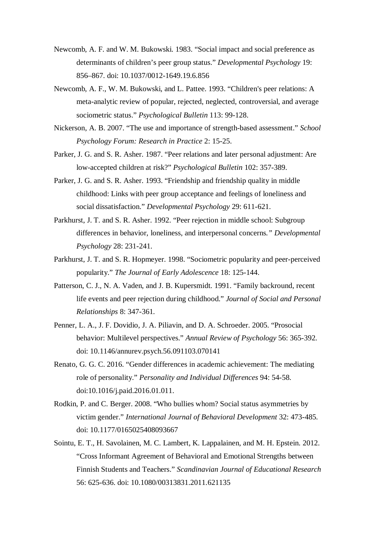- Newcomb, A. F. and W. M. Bukowski. 1983. "Social impact and social preference as determinants of children's peer group status." *Developmental Psychology* 19: 856–867. doi: 10.1037/0012-1649.19.6.856
- Newcomb, A. F., W. M. Bukowski, and L. Pattee. 1993. "Children's peer relations: A meta-analytic review of popular, rejected, neglected, controversial, and average sociometric status." *Psychological Bulletin* 113: 99-128.
- Nickerson, A. B. 2007. "The use and importance of strength-based assessment." *School Psychology Forum: Research in Practice* 2: 15-25.
- Parker, J. G. and S. R. Asher. 1987. "Peer relations and later personal adjustment: Are low-accepted children at risk?" *Psychological Bulletin* 102: 357-389.
- Parker, J. G. and S. R. Asher. 1993. "Friendship and friendship quality in middle childhood: Links with peer group acceptance and feelings of loneliness and social dissatisfaction." *Developmental Psychology* 29: 611-621.
- Parkhurst, J. T. and S. R. Asher. 1992. "Peer rejection in middle school: Subgroup differences in behavior, loneliness, and interpersonal concerns*." Developmental Psychology* 28: 231-241.
- Parkhurst, J. T. and S. R. Hopmeyer. 1998. "Sociometric popularity and peer-perceived popularity." *The Journal of Early Adolescence* 18: 125-144.
- Patterson, C. J., N. A. Vaden, and J. B. Kupersmidt. 1991. "Family backround, recent life events and peer rejection during childhood." *Journal of Social and Personal Relationships* 8: 347-361.
- Penner, L. A., J. F. Dovidio, J. A. Piliavin, and D. A. Schroeder. 2005. "Prosocial behavior: Multilevel perspectives." *Annual Review of Psychology* 56: 365-392. doi: 10.1146/annurev.psych.56.091103.070141
- Renato, G. G. C. 2016. "Gender differences in academic achievement: The mediating role of personality." *Personality and Individual Differences* 94: 54-58. doi:10.1016/j.paid.2016.01.011.
- Rodkin, P. and C. Berger. 2008. "Who bullies whom? Social status asymmetries by victim gender." *International Journal of Behavioral Development* 32: 473-485. doi: 10.1177/0165025408093667
- Sointu, E. T., H. Savolainen, M. C. Lambert, K. Lappalainen, and M. H. Epstein. 2012. "Cross Informant Agreement of Behavioral and Emotional Strengths between Finnish Students and Teachers." *Scandinavian Journal of Educational Research* 56: 625-636. doi: 10.1080/00313831.2011.621135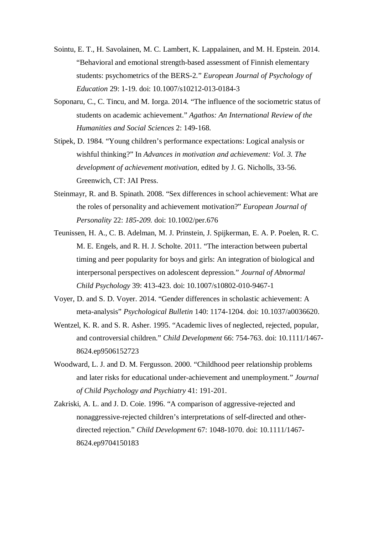- Sointu, E. T., H. Savolainen, M. C. Lambert, K. Lappalainen, and M. H. Epstein. 2014. "Behavioral and emotional strength-based assessment of Finnish elementary students: psychometrics of the BERS-2*.*" *European Journal of Psychology of Education* 29: 1-19. doi: 10.1007/s10212-013-0184-3
- Soponaru, C., C. Tincu, and M. Iorga. 2014. "The influence of the sociometric status of students on academic achievement." *Agathos: An International Review of the Humanities and Social Sciences* 2: 149-168.
- Stipek, D. 1984. "Young children's performance expectations: Logical analysis or wishful thinking?" In *Advances in motivation and achievement: Vol. 3. The development of achievement motivation,* edited by J. G. Nicholls, 33-56. Greenwich, CT: JAI Press.
- Steinmayr, R. and B. Spinath. 2008. "Sex differences in school achievement: What are the roles of personality and achievement motivation?" *European Journal of Personality* 22: *185-209.* doi: 10.1002/per.676
- Teunissen, H. A., C. B. Adelman, M. J. Prinstein, J. Spijkerman, E. A. P. Poelen, R. C. M. E. Engels, and R. H. J. Scholte. 2011. "The interaction between pubertal timing and peer popularity for boys and girls: An integration of biological and interpersonal perspectives on adolescent depression." *Journal of Abnormal Child Psychology* 39: 413-423. doi: 10.1007/s10802-010-9467-1
- Voyer, D. and S. D. Voyer. 2014. "Gender differences in scholastic achievement: A meta-analysis" *Psychological Bulletin* 140: 1174-1204. doi: 10.1037/a0036620.
- Wentzel, K. R. and S. R. Asher. 1995. "Academic lives of neglected, rejected, popular, and controversial children." *Child Development* 66: 754-763. doi: 10.1111/1467- 8624.ep9506152723
- Woodward, L. J. and D. M. Fergusson. 2000. "Childhood peer relationship problems and later risks for educational under-achievement and unemployment*.*" *Journal of Child Psychology and Psychiatry* 41: 191-201.
- Zakriski, A. L. and J. D. Coie. 1996. "A comparison of aggressive-rejected and nonaggressive-rejected children's interpretations of self-directed and otherdirected rejection." *Child Development* 67: 1048-1070. doi: 10.1111/1467- 8624.ep9704150183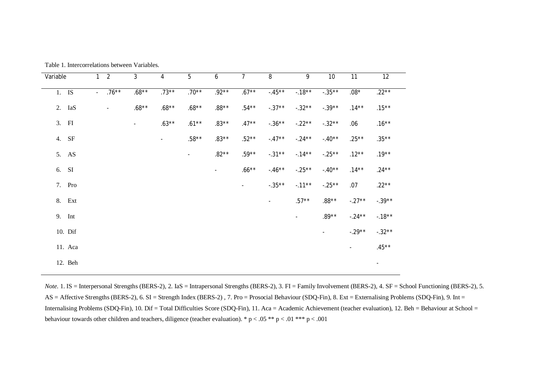| Variable | $\mathbf{1}$        | 2                        | $\mathfrak{Z}$ | $\overline{4}$ | 5        | 6       | $\overline{7}$ | $8\,$          | 9         | 10        | 11             | 12             |
|----------|---------------------|--------------------------|----------------|----------------|----------|---------|----------------|----------------|-----------|-----------|----------------|----------------|
| 1. IS    | $\omega_{\rm{eff}}$ | $.76***$                 | $.68***$       | $.73***$       | $.70**$  | $.92**$ | $.67***$       | $-45**$        | $-18**$   | $-.35***$ | $.08^{\star}$  | $.22***$       |
| 2. IaS   |                     | $\overline{\phantom{a}}$ | $.68**$        | $.68**$        | $.68**$  | .88**   | $.54***$       | $-.37**$       | $-.32**$  | $-.39**$  | $.14***$       | $.15***$       |
| 3. FI    |                     |                          | $\blacksquare$ | $.63**$        | $.61***$ | $.83**$ | $.47**$        | $-.36***$      | $-.22**$  | $-.32**$  | .06            | $.16***$       |
| 4. SF    |                     |                          |                | $\blacksquare$ | $.58**$  | $.83**$ | $.52**$        | $-.47**$       | $-.24**$  | $-.40**$  | $.25***$       | $.35***$       |
| 5. AS    |                     |                          |                |                | $\sim$   | $.82**$ | $.59**$        | $-.31***$      | $-14**$   | $-.25**$  | $.12***$       | $.19***$       |
| 6. SI    |                     |                          |                |                |          | $\sim$  | $.66***$       | $-.46**$       | $-.25***$ | $-.40**$  | $.14***$       | $.24***$       |
| 7. Pro   |                     |                          |                |                |          |         | $\sim$         | $-.35**$       | $-.11***$ | $-.25**$  | .07            | $.22***$       |
| 8. Ext   |                     |                          |                |                |          |         |                | $\blacksquare$ | $.57***$  | $.88**$   | $-.27**$       | $-.39**$       |
| 9. Int   |                     |                          |                |                |          |         |                |                | $\sim$    | $.89**$   | $-.24**$       | $-18**$        |
| 10. Dif  |                     |                          |                |                |          |         |                |                |           | $\sim$    | $-.29**$       | $-.32**$       |
| 11. Aca  |                     |                          |                |                |          |         |                |                |           |           | $\blacksquare$ | $.45***$       |
| 12. Beh  |                     |                          |                |                |          |         |                |                |           |           |                | $\blacksquare$ |

Table 1. Intercorrelations between Variables.

*Note.* 1. IS = Interpersonal Strengths (BERS-2), 2. IaS = Intrapersonal Strengths (BERS-2), 3. FI = Family Involvement (BERS-2), 4. SF = School Functioning (BERS-2), 5. AS = Affective Strengths (BERS-2), 6. SI = Strength Index (BERS-2), 7. Pro = Prosocial Behaviour (SDQ-Fin), 8. Ext = Externalising Problems (SDQ-Fin), 9. Int = Internalising Problems (SDQ-Fin), 10. Dif = Total Difficulties Score (SDQ-Fin), 11. Aca = Academic Achievement (teacher evaluation), 12. Beh = Behaviour at School = behaviour towards other children and teachers, diligence (teacher evaluation). \* p < .05 \*\* p < .01 \*\*\* p < .001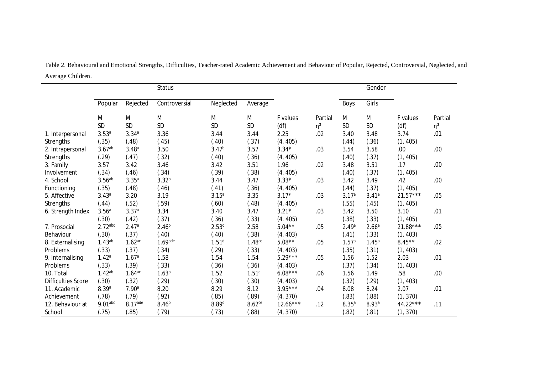|                           |                    |                      | <b>Status</b>         |                   |                      |            |          |                   | Gender            |            |          |
|---------------------------|--------------------|----------------------|-----------------------|-------------------|----------------------|------------|----------|-------------------|-------------------|------------|----------|
|                           | Popular            | Rejected             | Controversial         | Neglected         | Average              |            |          | Boys              | Girls             |            |          |
|                           | M                  | M                    | M                     | M                 | M                    | F values   | Partial  | M                 | M                 | F values   | Partial  |
|                           | <b>SD</b>          | SD                   | SD                    | SD                | SD                   | (df)       | $\eta^2$ | SD                | SD                | (df)       | $\eta^2$ |
| 1. Interpersonal          | 3.53 <sup>a</sup>  | 3.34a                | 3.36                  | 3.44              | 3.44                 | 2.25       | .02      | 3.40              | 3.48              | 3.74       | .01      |
| <b>Strengths</b>          | (.35)              | (.48)                | (.45)                 | (.40)             | (.37)                | (4, 405)   |          | (.44)             | (.36)             | (1, 405)   |          |
| 2. Intrapersonal          | 3.67 <sup>ab</sup> | 3.48 <sup>a</sup>    | 3.50                  | 3.47 <sup>b</sup> | 3.57                 | $3.34*$    | .03      | 3.54              | 3.58              | .00        | .00.     |
| <b>Strengths</b>          | (.29)              | (.47)                | (.32)                 | (.40)             | (.36)                | (4, 405)   |          | (.40)             | (.37)             | (1, 405)   |          |
| 3. Family                 | 3.57               | 3.42                 | 3.46                  | 3.42              | 3.51                 | 1.96       | .02      | 3.48              | 3.51              | .17        | .00.     |
| Involvement               | (.34)              | (.46)                | (.34)                 | (.39)             | (.38)                | (4, 405)   |          | (.40)             | (.37)             | (1, 405)   |          |
| 4. School                 | 3.56 <sup>ab</sup> | $3.35^{a}$           | $3.32^{b}$            | 3.44              | 3.47                 | $3.33*$    | .03      | 3.42              | 3.49              | .42        | .00      |
| Functioning               | (.35)              | (.48)                | (.46)                 | (.41)             | (.36)                | (4, 405)   |          | (.44)             | (.37)             | (1, 405)   |          |
| 5. Affective              | 3.43a              | 3.20                 | 3.19                  | 3.15 <sup>a</sup> | 3.35                 | $3.17*$    | .03      | 3.17 <sup>a</sup> | 3.41a             | $21.57***$ | .05      |
| <b>Strengths</b>          | (.44)              | (.52)                | (.59)                 | (.60)             | (.48)                | (4, 405)   |          | (.55)             | (.45)             | (1, 405)   |          |
| 6. Strength Index         | 3.56 <sup>a</sup>  | 3.37 <sup>a</sup>    | 3.34                  | 3.40              | 3.47                 | $3.21*$    | .03      | 3.42              | 3.50              | 3.10       | .01      |
|                           | (.30)              | (.42)                | (.37)                 | (.36)             | (.33)                | (4.405)    |          | (.38)             | (.33)             | (1, 405)   |          |
| 7. Prosocial              | $2.72$ abc         | 2.47a                | $2.46^{b}$            | 2.53 <sup>c</sup> | 2.58                 | $5.04**$   | .05      | 2.49 <sup>a</sup> | 2.66 <sup>a</sup> | $21.88***$ | .05      |
| Behaviour                 | (.30)              | (.37)                | (.40)                 | (.40)             | (.38)                | (4, 403)   |          | (.41)             | (.33)             | (1, 403)   |          |
| 8. Externalising          | 1.43 <sup>ab</sup> | $1.62$ <sup>ac</sup> | $1.69$ <sub>bde</sub> | 1.51 <sup>d</sup> | 1.48 <sup>ce</sup>   | $5.08**$   | .05      | 1.57 <sup>a</sup> | 1.45 <sup>a</sup> | $8.45**$   | .02      |
| Problems                  | (.33)              | (.37)                | (.34)                 | (.29)             | (.33)                | (4, 403)   |          | (.35)             | (.31)             | (1, 403)   |          |
| 9. Internalising          | 1.42 <sup>a</sup>  | 1.67 <sup>a</sup>    | 1.58                  | 1.54              | 1.54                 | $5.29***$  | .05      | 1.56              | 1.52              | 2.03       | .01      |
| Problems                  | (.33)              | (.39)                | (.33)                 | (.36)             | (.36)                | (4, 403)   |          | (.37)             | (.34)             | (1, 403)   |          |
| 10. Total                 | 1.42 <sup>ab</sup> | $1.64$ <sub>ac</sub> | 1.63 <sup>b</sup>     | 1.52              | 1.51c                | $6.08***$  | .06      | 1.56              | 1.49              | .58        | .00      |
| <b>Difficulties Score</b> | (.30)              | (.32)                | (.29)                 | (.30)             | (.30)                | (4, 403)   |          | (.32)             | (.29)             | (1, 403)   |          |
| 11. Academic              | 8.39 <sup>a</sup>  | 7.90 <sup>a</sup>    | 8.20                  | 8.29              | 8.12                 | $3.95***$  | .04      | 8.08              | 8.24              | 2.07       | .01      |
| Achievement               | (.78)              | (.79)                | (.92)                 | (.85)             | (.89)                | (4, 370)   |          | (.83)             | (.88)             | (1, 370)   |          |
| 12. Behaviour at          | $9.01$ abc         | 8.17ade              | 8.46 <sup>b</sup>     | 8.89 <sup>d</sup> | $8.62$ <sup>ce</sup> | $12.66***$ | .12      | $8.35^{a}$        | 8.93a             | 44.22***   | .11      |
| School                    | (.75)              | (.85)                | (.79)                 | (.73)             | (.88)                | (4, 370)   |          | (.82)             | (.81)             | (1, 370)   |          |

Table 2. Behavioural and Emotional Strengths, Difficulties, Teacher-rated Academic Achievement and Behaviour of Popular, Rejected, Controversial, Neglected, and Average Children.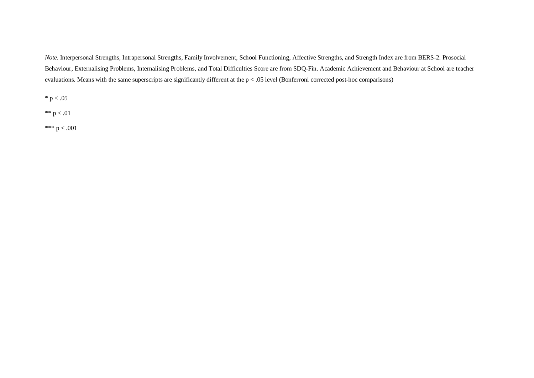*Note*. Interpersonal Strengths, Intrapersonal Strengths, Family Involvement, School Functioning, Affective Strengths, and Strength Index are from BERS-2. Prosocial Behaviour, Externalising Problems, Internalising Problems, and Total Difficulties Score are from SDQ-Fin. Academic Achievement and Behaviour at School are teacher evaluations. Means with the same superscripts are significantly different at the p < .05 level (Bonferroni corrected post-hoc comparisons)

 $*$  p  $< .05$ 

\*\*  $p < .01$ 

\*\*\*  $p < .001$